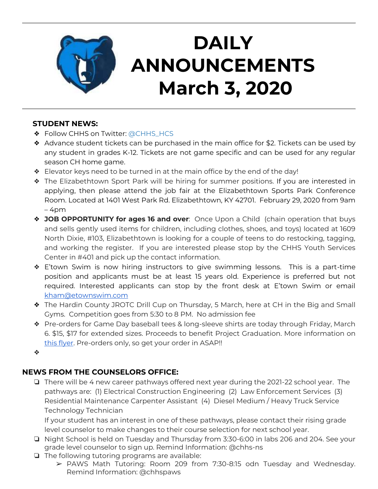

# **DAILY ANNOUNCEMENTS March 3, 2020**

### **STUDENT NEWS:**

- ❖ Follow CHHS on Twitter: [@CHHS\\_HCS](https://twitter.com/CHHS_HCS)
- ❖ Advance student tickets can be purchased in the main office for \$2. Tickets can be used by any student in grades K-12. Tickets are not game specific and can be used for any regular season CH home game.
- ❖ Elevator keys need to be turned in at the main office by the end of the day!
- ❖ The Elizabethtown Sport Park will be hiring for summer positions. If you are interested in applying, then please attend the job fair at the Elizabethtown Sports Park Conference Room. Located at 1401 West Park Rd. Elizabethtown, KY 42701. February 29, 2020 from 9am – 4pm
- ❖ **JOB OPPORTUNITY for ages 16 and over**: Once Upon a Child (chain operation that buys and sells gently used items for children, including clothes, shoes, and toys) located at 1609 North Dixie, #103, Elizabethtown is looking for a couple of teens to do restocking, tagging, and working the register. If you are interested please stop by the CHHS Youth Services Center in #401 and pick up the contact information.
- ❖ E'town Swim is now hiring instructors to give swimming lessons. This is a part-time position and applicants must be at least 15 years old. Experience is preferred but not required. Interested applicants can stop by the front desk at E'town Swim or email [kham@etownswim.com](mailto:kham@etownswim.com)
- ❖ The Hardin County JROTC Drill Cup on Thursday, 5 March, here at CH in the Big and Small Gyms. Competition goes from 5:30 to 8 PM. No admission fee
- ❖ Pre-orders for Game Day baseball tees & long-sleeve shirts are today through Friday, March 6. \$15, \$17 for extended sizes. Proceeds to benefit Project Graduation. More information on [this flyer.](https://docs.google.com/document/d/1TYikQWSl-159HW2fqa2rBfN3XxtHYr1f7SyOB9_OtCA/edit?usp=sharing) Pre-orders only, so get your order in ASAP!!
- ❖

### **NEWS FROM THE COUNSELORS OFFICE:**

❏ There will be 4 new career pathways offered next year during the 2021-22 school year. The pathways are: (1) Electrical Construction Engineering (2) Law Enforcement Services (3) Residential Maintenance Carpenter Assistant (4) Diesel Medium / Heavy Truck Service Technology Technician

If your student has an interest in one of these pathways, please contact their rising grade level counselor to make changes to their course selection for next school year.

- ❏ Night School is held on Tuesday and Thursday from 3:30-6:00 in labs 206 and 204. See your grade level counselor to sign up. Remind Information: @chhs-ns
- ❏ The following tutoring programs are available:
	- ➢ PAWS Math Tutoring: Room 209 from 7:30-8:15 odn Tuesday and Wednesday. Remind Information: @chhspaws